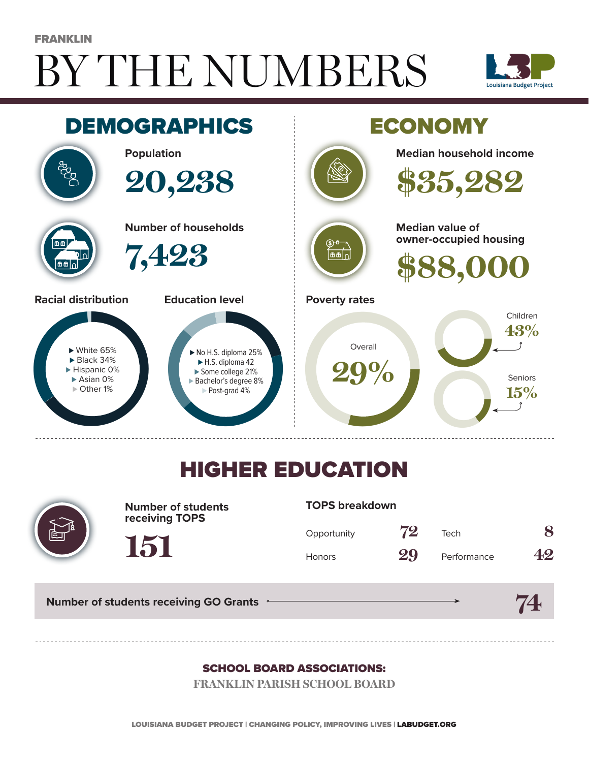# BY THE NUMBERS FRANKLIN





## HIGHER EDUCATION



**Number of students receiving TOPS**

#### **TOPS breakdown**

| Opportunity   | 72 | Tech        | 8  |
|---------------|----|-------------|----|
| <b>Honors</b> | 29 | Performance | 42 |

**74**

**Number of students receiving GO Grants**

**151**

#### SCHOOL BOARD ASSOCIATIONS:

**FRANKLIN PARISH SCHOOL BOARD**